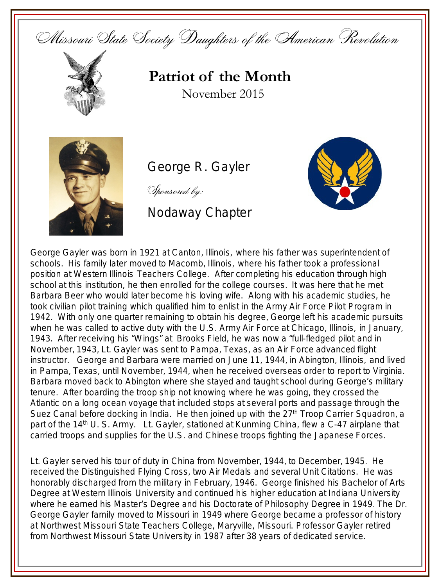Missouri State Society Daughters of the American Revolution



## **Patriot of the Month** November 2015



George R. Gayler

Sponsored by:

## Nodaway Chapter



George Gayler was born in 1921 at Canton, Illinois, where his father was superintendent of schools. His family later moved to Macomb, Illinois, where his father took a professional position at Western Illinois Teachers College. After completing his education through high school at this institution, he then enrolled for the college courses. It was here that he met Barbara Beer who would later become his loving wife. Along with his academic studies, he took civilian pilot training which qualified him to enlist in the Army Air Force Pilot Program in 1942. With only one quarter remaining to obtain his degree, George left his academic pursuits when he was called to active duty with the U.S. Army Air Force at Chicago, Illinois, in January, 1943. After receiving his "Wings" at Brooks Field, he was now a "full-fledged pilot and in November, 1943, Lt. Gayler was sent to Pampa, Texas, as an Air Force advanced flight instructor. George and Barbara were married on June 11, 1944, in Abington, Illinois, and lived in Pampa, Texas, until November, 1944, when he received overseas order to report to Virginia. Barbara moved back to Abington where she stayed and taught school during George's military tenure. After boarding the troop ship not knowing where he was going, they crossed the Atlantic on a long ocean voyage that included stops at several ports and passage through the Suez Canal before docking in India. He then joined up with the  $27<sup>th</sup>$  Troop Carrier Squadron, a part of the 14<sup>th</sup> U. S. Army. Lt. Gayler, stationed at Kunming China, flew a C-47 airplane that carried troops and supplies for the U.S. and Chinese troops fighting the Japanese Forces.

Lt. Gayler served his tour of duty in China from November, 1944, to December, 1945. He received the Distinguished Flying Cross, two Air Medals and several Unit Citations. He was honorably discharged from the military in February, 1946. George finished his Bachelor of Arts Degree at Western Illinois University and continued his higher education at Indiana University where he earned his Master's Degree and his Doctorate of Philosophy Degree in 1949. The Dr. George Gayler family moved to Missouri in 1949 where George became a professor of history at Northwest Missouri State Teachers College, Maryville, Missouri. Professor Gayler retired from Northwest Missouri State University in 1987 after 38 years of dedicated service.